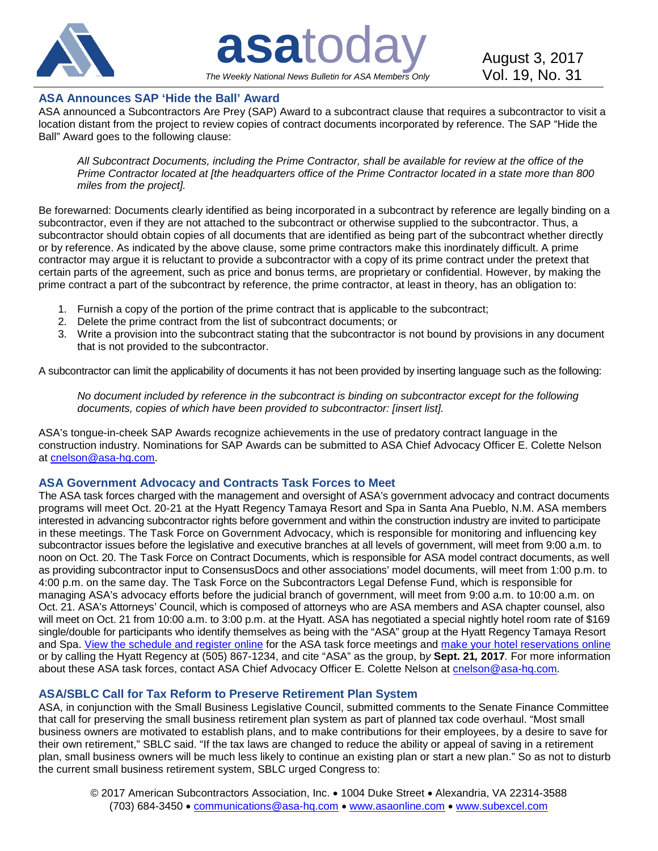

**asatoday** August 3, 2017 *The Weekly National News Bulletin for ASA Members Only*

# **ASA Announces SAP 'Hide the Ball' Award**

ASA announced a Subcontractors Are Prey (SAP) Award to a subcontract clause that requires a subcontractor to visit a location distant from the project to review copies of contract documents incorporated by reference. The SAP "Hide the Ball" Award goes to the following clause:

*All Subcontract Documents, including the Prime Contractor, shall be available for review at the office of the Prime Contractor located at [the headquarters office of the Prime Contractor located in a state more than 800 miles from the project].*

Be forewarned: Documents clearly identified as being incorporated in a subcontract by reference are legally binding on a subcontractor, even if they are not attached to the subcontract or otherwise supplied to the subcontractor. Thus, a subcontractor should obtain copies of all documents that are identified as being part of the subcontract whether directly or by reference. As indicated by the above clause, some prime contractors make this inordinately difficult. A prime contractor may argue it is reluctant to provide a subcontractor with a copy of its prime contract under the pretext that certain parts of the agreement, such as price and bonus terms, are proprietary or confidential. However, by making the prime contract a part of the subcontract by reference, the prime contractor, at least in theory, has an obligation to:

- 1. Furnish a copy of the portion of the prime contract that is applicable to the subcontract;
- 2. Delete the prime contract from the list of subcontract documents; or
- 3. Write a provision into the subcontract stating that the subcontractor is not bound by provisions in any document that is not provided to the subcontractor.

A subcontractor can limit the applicability of documents it has not been provided by inserting language such as the following:

*No document included by reference in the subcontract is binding on subcontractor except for the following documents, copies of which have been provided to subcontractor: [insert list].*

ASA's tongue-in-cheek SAP Awards recognize achievements in the use of predatory contract language in the construction industry. Nominations for SAP Awards can be submitted to ASA Chief Advocacy Officer E. Colette Nelson at [cnelson@asa-hq.com.](mailto:cnelson@asa-hq.com)

### **ASA Government Advocacy and Contracts Task Forces to Meet**

The ASA task forces charged with the management and oversight of ASA's government advocacy and contract documents programs will meet Oct. 20-21 at the Hyatt Regency Tamaya Resort and Spa in Santa Ana Pueblo, N.M. ASA members interested in advancing subcontractor rights before government and within the construction industry are invited to participate in these meetings. The Task Force on Government Advocacy, which is responsible for monitoring and influencing key subcontractor issues before the legislative and executive branches at all levels of government, will meet from 9:00 a.m. to noon on Oct. 20. The Task Force on Contract Documents, which is responsible for ASA model contract documents, as well as providing subcontractor input to ConsensusDocs and other associations' model documents, will meet from 1:00 p.m. to 4:00 p.m. on the same day. The Task Force on the Subcontractors Legal Defense Fund, which is responsible for managing ASA's advocacy efforts before the judicial branch of government, will meet from 9:00 a.m. to 10:00 a.m. on Oct. 21. ASA's Attorneys' Council, which is composed of attorneys who are ASA members and ASA chapter counsel, also will meet on Oct. 21 from 10:00 a.m. to 3:00 p.m. at the Hyatt. ASA has negotiated a special nightly hotel room rate of \$169 single/double for participants who identify themselves as being with the "ASA" group at the Hyatt Regency Tamaya Resort and Spa. [View the schedule and register online](http://bit.ly/2qcHlC4) for the ASA task force meetings and [make your hotel reservations online](http://bit.ly/2f7i4tc) or by calling the Hyatt Regency at (505) 867-1234, and cite "ASA" as the group, b*y* **Sept. 21***,* **2017***.* For more information about these ASA task forces, contact ASA Chief Advocacy Officer E. Colette Nelson at [cnelson@asa-hq.com](mailto:cnelson@asa-hq.com)*.*

### **ASA/SBLC Call for Tax Reform to Preserve Retirement Plan System**

ASA, in conjunction with the Small Business Legislative Council, submitted comments to the Senate Finance Committee that call for preserving the small business retirement plan system as part of planned tax code overhaul. "Most small business owners are motivated to establish plans, and to make contributions for their employees, by a desire to save for their own retirement," SBLC said. "If the tax laws are changed to reduce the ability or appeal of saving in a retirement plan, small business owners will be much less likely to continue an existing plan or start a new plan." So as not to disturb the current small business retirement system, SBLC urged Congress to: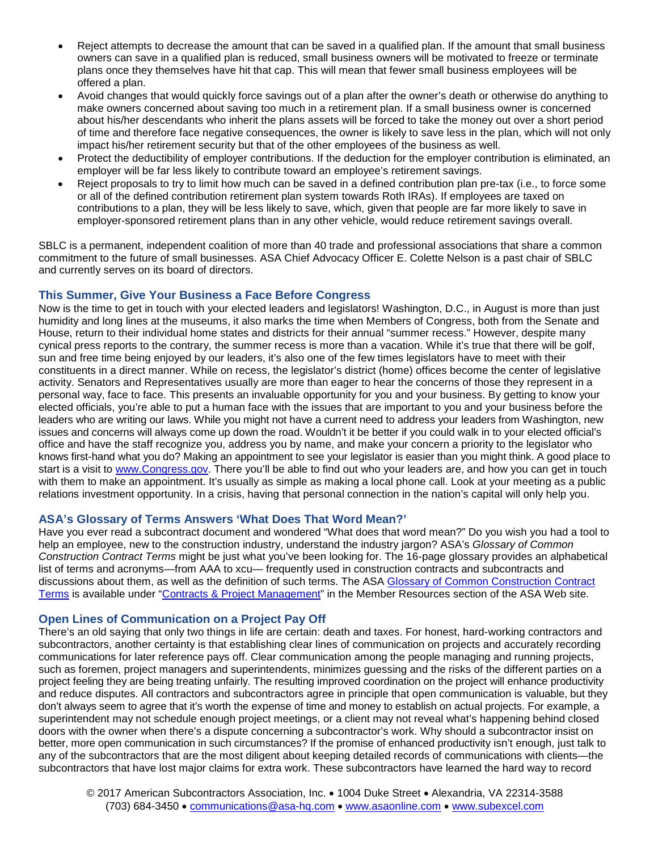- Reject attempts to decrease the amount that can be saved in a qualified plan. If the amount that small business owners can save in a qualified plan is reduced, small business owners will be motivated to freeze or terminate plans once they themselves have hit that cap. This will mean that fewer small business employees will be offered a plan.
- Avoid changes that would quickly force savings out of a plan after the owner's death or otherwise do anything to make owners concerned about saving too much in a retirement plan. If a small business owner is concerned about his/her descendants who inherit the plans assets will be forced to take the money out over a short period of time and therefore face negative consequences, the owner is likely to save less in the plan, which will not only impact his/her retirement security but that of the other employees of the business as well.
- Protect the deductibility of employer contributions. If the deduction for the employer contribution is eliminated, an employer will be far less likely to contribute toward an employee's retirement savings.
- Reject proposals to try to limit how much can be saved in a defined contribution plan pre-tax (i.e., to force some or all of the defined contribution retirement plan system towards Roth IRAs). If employees are taxed on contributions to a plan, they will be less likely to save, which, given that people are far more likely to save in employer-sponsored retirement plans than in any other vehicle, would reduce retirement savings overall.

SBLC is a permanent, independent coalition of more than 40 trade and professional associations that share a common commitment to the future of small businesses. ASA Chief Advocacy Officer E. Colette Nelson is a past chair of SBLC and currently serves on its board of directors.

# **This Summer, Give Your Business a Face Before Congress**

Now is the time to get in touch with your elected leaders and legislators! Washington, D.C., in August is more than just humidity and long lines at the museums, it also marks the time when Members of Congress, both from the Senate and House, return to their individual home states and districts for their annual "summer recess." However, despite many cynical press reports to the contrary, the summer recess is more than a vacation. While it's true that there will be golf, sun and free time being enjoyed by our leaders, it's also one of the few times legislators have to meet with their constituents in a direct manner. While on recess, the legislator's district (home) offices become the center of legislative activity. Senators and Representatives usually are more than eager to hear the concerns of those they represent in a personal way, face to face. This presents an invaluable opportunity for you and your business. By getting to know your elected officials, you're able to put a human face with the issues that are important to you and your business before the leaders who are writing our laws. While you might not have a current need to address your leaders from Washington, new issues and concerns will always come up down the road. Wouldn't it be better if you could walk in to your elected official's office and have the staff recognize you, address you by name, and make your concern a priority to the legislator who knows first-hand what you do? Making an appointment to see your legislator is easier than you might think. A good place to start is a visit to [www.Congress.gov.](http://www.congress.gov/) There you'll be able to find out who your leaders are, and how you can get in touch with them to make an appointment. It's usually as simple as making a local phone call. Look at your meeting as a public relations investment opportunity. In a crisis, having that personal connection in the nation's capital will only help you.

### **ASA's Glossary of Terms Answers 'What Does That Word Mean?'**

Have you ever read a subcontract document and wondered "What does that word mean?" Do you wish you had a tool to help an employee, new to the construction industry, understand the industry jargon? ASA's *Glossary of Common Construction Contract Terms* might be just what you've been looking for. The 16-page glossary provides an alphabetical list of terms and acronyms—from AAA to xcu— frequently used in construction contracts and subcontracts and discussions about them, as well as the definition of such terms. The ASA [Glossary of Common Construction Contract](http://bit.ly/2b0r8c8)  [Terms](http://bit.ly/2b0r8c8) is available under ["Contracts & Project Management"](http://bit.ly/1b9Uwt7) in the Member Resources section of the ASA Web site.

# **Open Lines of Communication on a Project Pay Off**

There's an old saying that only two things in life are certain: death and taxes. For honest, hard-working contractors and subcontractors, another certainty is that establishing clear lines of communication on projects and accurately recording communications for later reference pays off. Clear communication among the people managing and running projects, such as foremen, project managers and superintendents, minimizes guessing and the risks of the different parties on a project feeling they are being treating unfairly. The resulting improved coordination on the project will enhance productivity and reduce disputes. All contractors and subcontractors agree in principle that open communication is valuable, but they don't always seem to agree that it's worth the expense of time and money to establish on actual projects. For example, a superintendent may not schedule enough project meetings, or a client may not reveal what's happening behind closed doors with the owner when there's a dispute concerning a subcontractor's work. Why should a subcontractor insist on better, more open communication in such circumstances? If the promise of enhanced productivity isn't enough, just talk to any of the subcontractors that are the most diligent about keeping detailed records of communications with clients—the subcontractors that have lost major claims for extra work. These subcontractors have learned the hard way to record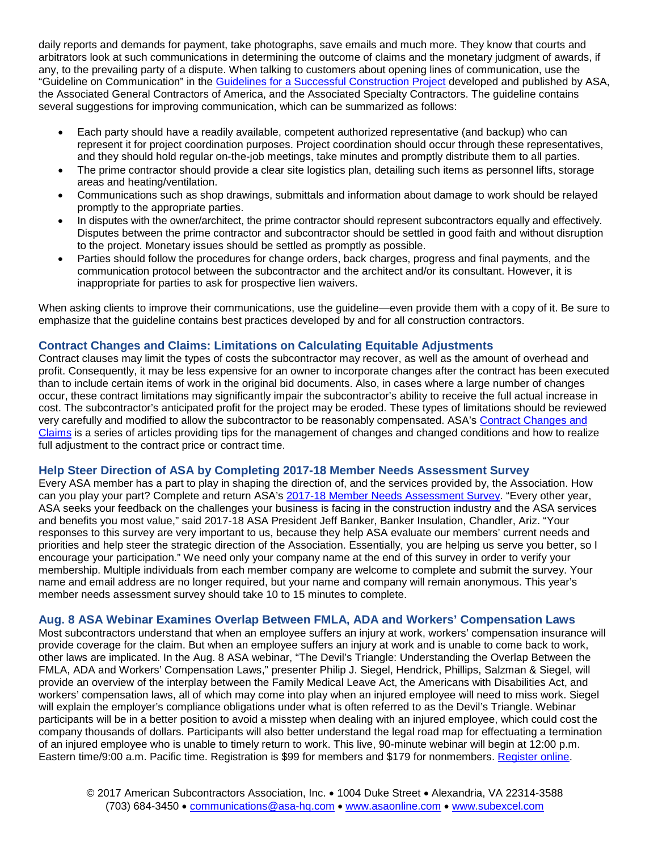daily reports and demands for payment, take photographs, save emails and much more. They know that courts and arbitrators look at such communications in determining the outcome of claims and the monetary judgment of awards, if any, to the prevailing party of a dispute. When talking to customers about opening lines of communication, use the "Guideline on Communication" in the [Guidelines for a Successful Construction Project](http://bit.ly/29r0aLT) developed and published by ASA, the Associated General Contractors of America, and the Associated Specialty Contractors. The guideline contains several suggestions for improving communication, which can be summarized as follows:

- Each party should have a readily available, competent authorized representative (and backup) who can represent it for project coordination purposes. Project coordination should occur through these representatives, and they should hold regular on-the-job meetings, take minutes and promptly distribute them to all parties.
- The prime contractor should provide a clear site logistics plan, detailing such items as personnel lifts, storage areas and heating/ventilation.
- Communications such as shop drawings, submittals and information about damage to work should be relayed promptly to the appropriate parties.
- In disputes with the owner/architect, the prime contractor should represent subcontractors equally and effectively. Disputes between the prime contractor and subcontractor should be settled in good faith and without disruption to the project. Monetary issues should be settled as promptly as possible.
- Parties should follow the procedures for change orders, back charges, progress and final payments, and the communication protocol between the subcontractor and the architect and/or its consultant. However, it is inappropriate for parties to ask for prospective lien waivers.

When asking clients to improve their communications, use the guideline—even provide them with a copy of it. Be sure to emphasize that the guideline contains best practices developed by and for all construction contractors.

# **Contract Changes and Claims: Limitations on Calculating Equitable Adjustments**

Contract clauses may limit the types of costs the subcontractor may recover, as well as the amount of overhead and profit. Consequently, it may be less expensive for an owner to incorporate changes after the contract has been executed than to include certain items of work in the original bid documents. Also, in cases where a large number of changes occur, these contract limitations may significantly impair the subcontractor's ability to receive the full actual increase in cost. The subcontractor's anticipated profit for the project may be eroded. These types of limitations should be reviewed very carefully and modified to allow the subcontractor to be reasonably compensated. ASA's [Contract Changes and](http://bit.ly/1CRsZuK)  [Claims](http://bit.ly/1CRsZuK) is a series of articles providing tips for the management of changes and changed conditions and how to realize full adjustment to the contract price or contract time.

#### **Help Steer Direction of ASA by Completing 2017-18 Member Needs Assessment Survey**

Every ASA member has a part to play in shaping the direction of, and the services provided by, the Association. How can you play your part? Complete and return ASA's [2017-18 Member Needs Assessment Survey.](http://bit.ly/2tGufyQ) "Every other year, ASA seeks your feedback on the challenges your business is facing in the construction industry and the ASA services and benefits you most value," said 2017-18 ASA President Jeff Banker, Banker Insulation, Chandler, Ariz. "Your responses to this survey are very important to us, because they help ASA evaluate our members' current needs and priorities and help steer the strategic direction of the Association. Essentially, you are helping us serve you better, so I encourage your participation." We need only your company name at the end of this survey in order to verify your membership. Multiple individuals from each member company are welcome to complete and submit the survey. Your name and email address are no longer required, but your name and company will remain anonymous. This year's member needs assessment survey should take 10 to 15 minutes to complete.

### **Aug. 8 ASA Webinar Examines Overlap Between FMLA, ADA and Workers' Compensation Laws**

Most subcontractors understand that when an employee suffers an injury at work, workers' compensation insurance will provide coverage for the claim. But when an employee suffers an injury at work and is unable to come back to work, other laws are implicated. In the Aug. 8 ASA webinar, "The Devil's Triangle: Understanding the Overlap Between the FMLA, ADA and Workers' Compensation Laws," presenter Philip J. Siegel, Hendrick, Phillips, Salzman & Siegel, will provide an overview of the interplay between the Family Medical Leave Act, the Americans with Disabilities Act, and workers' compensation laws, all of which may come into play when an injured employee will need to miss work. Siegel will explain the employer's compliance obligations under what is often referred to as the Devil's Triangle. Webinar participants will be in a better position to avoid a misstep when dealing with an injured employee, which could cost the company thousands of dollars. Participants will also better understand the legal road map for effectuating a termination of an injured employee who is unable to timely return to work. This live, 90-minute webinar will begin at 12:00 p.m. Eastern time/9:00 a.m. Pacific time. Registration is \$99 for members and \$179 for nonmembers. [Register online.](http://bit.ly/2rHn2yn)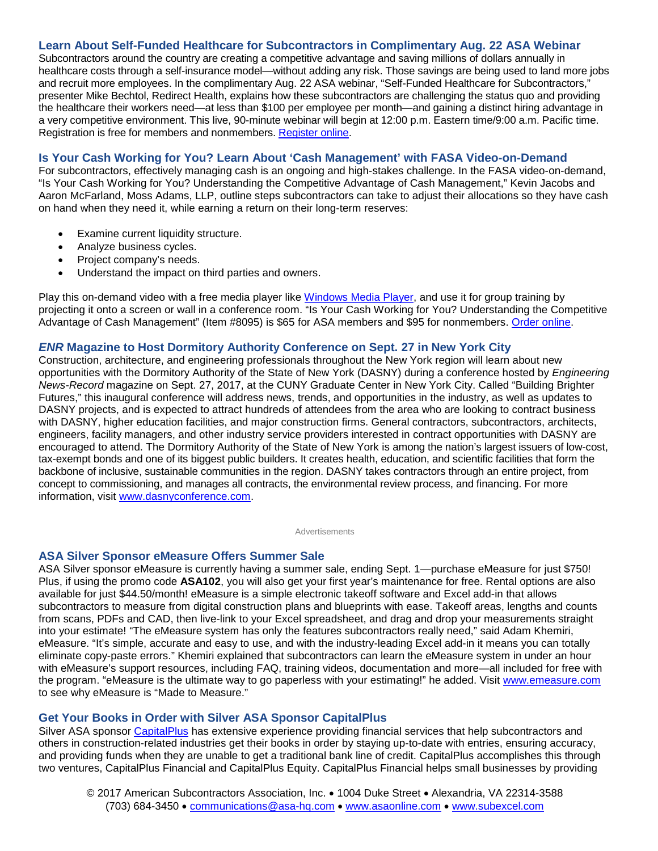### **Learn About Self-Funded Healthcare for Subcontractors in Complimentary Aug. 22 ASA Webinar**

Subcontractors around the country are creating a competitive advantage and saving millions of dollars annually in healthcare costs through a self-insurance model—without adding any risk. Those savings are being used to land more jobs and recruit more employees. In the complimentary Aug. 22 ASA webinar, "Self-Funded Healthcare for Subcontractors," presenter Mike Bechtol, Redirect Health, explains how these subcontractors are challenging the status quo and providing the healthcare their workers need—at less than \$100 per employee per month—and gaining a distinct hiring advantage in a very competitive environment. This live, 90-minute webinar will begin at 12:00 p.m. Eastern time/9:00 a.m. Pacific time. Registration is free for members and nonmembers. [Register online.](http://bit.ly/2rHs3Xw)

#### **Is Your Cash Working for You? Learn About 'Cash Management' with FASA Video-on-Demand**

For subcontractors, effectively managing cash is an ongoing and high-stakes challenge. In the FASA video-on-demand, "Is Your Cash Working for You? Understanding the Competitive Advantage of Cash Management," Kevin Jacobs and Aaron McFarland, Moss Adams, LLP, outline steps subcontractors can take to adjust their allocations so they have cash on hand when they need it, while earning a return on their long-term reserves:

- Examine current liquidity structure.
- Analyze business cycles.
- Project company's needs.
- Understand the impact on third parties and owners.

Play this on-demand video with a free media player like [Windows Media Player,](http://bit.ly/2tPVoAZ) and use it for group training by projecting it onto a screen or wall in a conference room. "Is Your Cash Working for You? Understanding the Competitive Advantage of Cash Management" (Item #8095) is \$65 for ASA members and \$95 for nonmembers. [Order online.](http://bit.ly/2d5mlvt)

#### *ENR* **Magazine to Host Dormitory Authority Conference on Sept. 27 in New York City**

Construction, architecture, and engineering professionals throughout the New York region will learn about new opportunities with the Dormitory Authority of the State of New York (DASNY) during a conference hosted by *Engineering News-Record* magazine on Sept. 27, 2017, at the CUNY Graduate Center in New York City. Called "Building Brighter Futures," this inaugural conference will address news, trends, and opportunities in the industry, as well as updates to DASNY projects, and is expected to attract hundreds of attendees from the area who are looking to contract business with DASNY, higher education facilities, and major construction firms. General contractors, subcontractors, architects, engineers, facility managers, and other industry service providers interested in contract opportunities with DASNY are encouraged to attend. The Dormitory Authority of the State of New York is among the nation's largest issuers of low-cost, tax-exempt bonds and one of its biggest public builders. It creates health, education, and scientific facilities that form the backbone of inclusive, sustainable communities in the region. DASNY takes contractors through an entire project, from concept to commissioning, and manages all contracts, the environmental review process, and financing. For more information, visit [www.dasnyconference.com.](http://www.dasnyconference.com/)

Advertisements

### **ASA Silver Sponsor eMeasure Offers Summer Sale**

ASA Silver sponsor eMeasure is currently having a summer sale, ending Sept. 1—purchase eMeasure for just \$750! Plus, if using the promo code **ASA102**, you will also get your first year's maintenance for free. Rental options are also available for just \$44.50/month! eMeasure is a simple electronic takeoff software and Excel add-in that allows subcontractors to measure from digital construction plans and blueprints with ease. Takeoff areas, lengths and counts from scans, PDFs and CAD, then live-link to your Excel spreadsheet, and drag and drop your measurements straight into your estimate! "The eMeasure system has only the features subcontractors really need," said Adam Khemiri, eMeasure. "It's simple, accurate and easy to use, and with the industry-leading Excel add-in it means you can totally eliminate copy-paste errors." Khemiri explained that subcontractors can learn the eMeasure system in under an hour with eMeasure's support resources, including FAQ, training videos, documentation and more—all included for free with the program. "eMeasure is the ultimate way to go paperless with your estimating!" he added. Visit [www.emeasure.com](http://www.emeasure.com/links/asa) to see why eMeasure is "Made to Measure."

#### **Get Your Books in Order with Silver ASA Sponsor CapitalPlus**

Silver ASA sponsor [CapitalPlus](http://www.capitalplusfinancial.com/capitalplus) has extensive experience providing financial services that help subcontractors and others in construction-related industries get their books in order by staying up-to-date with entries, ensuring accuracy, and providing funds when they are unable to get a traditional bank line of credit. CapitalPlus accomplishes this through two ventures, CapitalPlus Financial and CapitalPlus Equity. CapitalPlus Financial helps small businesses by providing